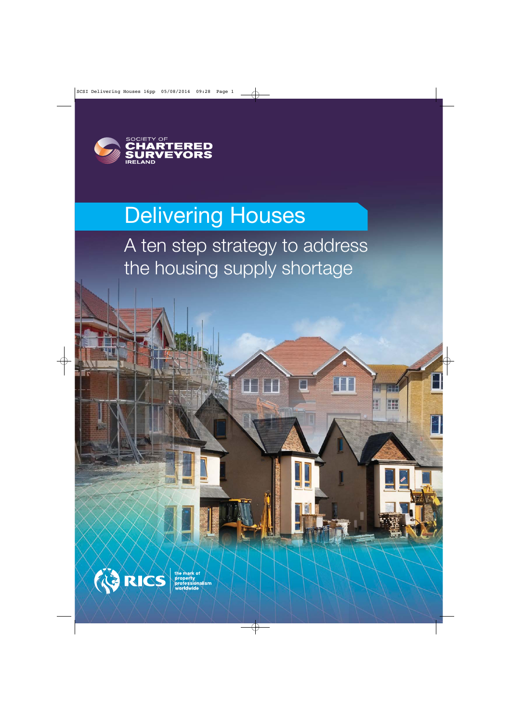

# Delivering Houses

A ten step strategy to address the housing supply shortage

EN H



the mark of<br>property<br>professionalism<br>worldwide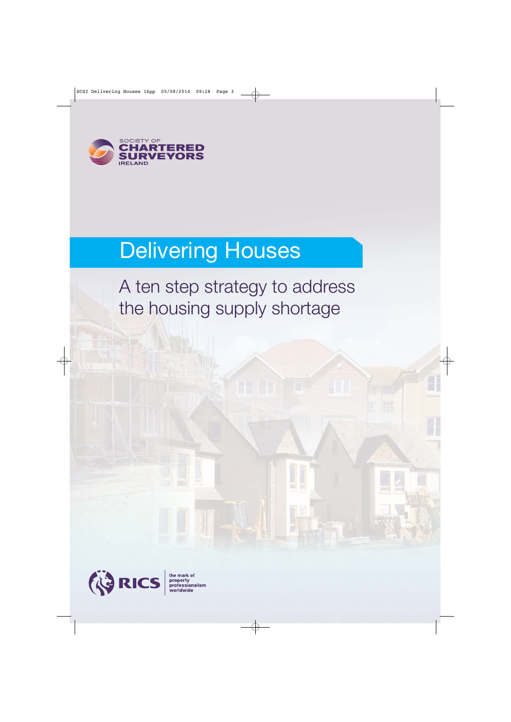

## Delivering Houses

A ten step strategy to address the housing supply shortage



the mark of<br>property<br>professionalism<br>worldwide worldwide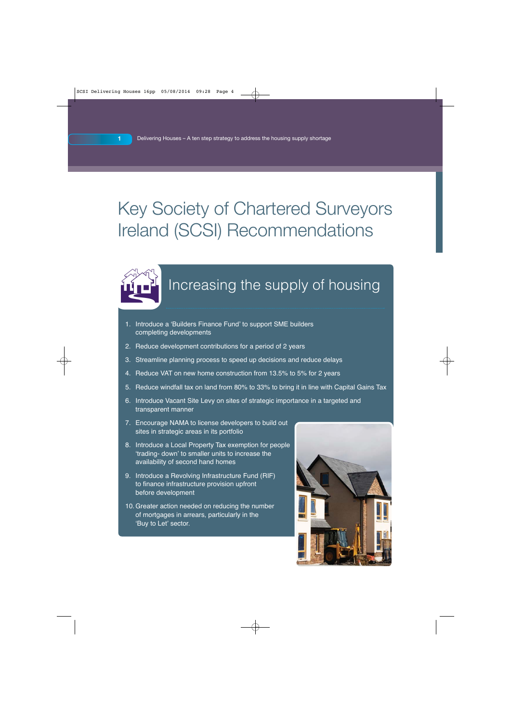## Key Society of Chartered Surveyors Ireland (SCSI) Recommendations



## Increasing the supply of housing

- 1. Introduce a ʻBuilders Finance Fund' to support SME builders completing developments
- 2. Reduce development contributions for a period of 2 years
- 3. Streamline planning process to speed up decisions and reduce delays
- 4. Reduce VAT on new home construction from 13.5% to 5% for 2 years
- 5. Reduce windfall tax on land from 80% to 33% to bring it in line with Capital Gains Tax
- 6. Introduce Vacant Site Levy on sites of strategic importance in a targeted and transparent manner
- 7. Encourage NAMA to license developers to build out sites in strategic areas in its portfolio
- 8. Introduce a Local Property Tax exemption for people ʻtrading- down' to smaller units to increase the availability of second hand homes
- 9. Introduce a Revolving Infrastructure Fund (RIF) to finance infrastructure provision upfront before development
- 10. Greater action needed on reducing the number of mortgages in arrears, particularly in the ʻBuy to Let' sector.

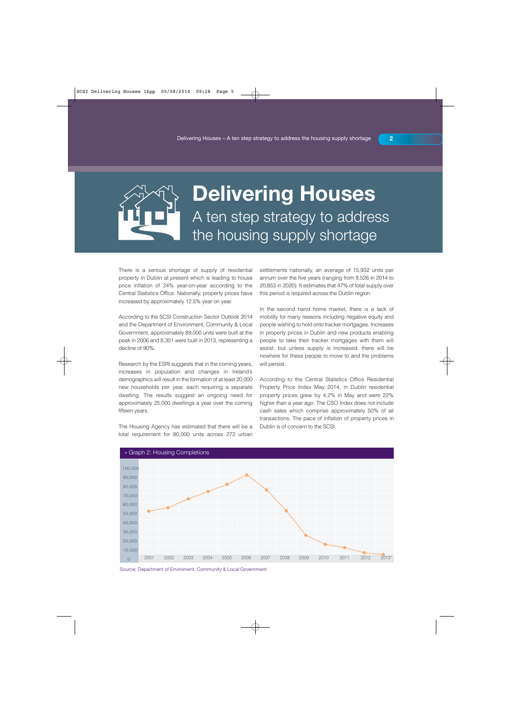# **Delivering Houses A ten step strategy to address** the housing supply shortage

There is a serious shortage of supply of residential property in Dublin at present which is leading to house price inflation of 24% year-on-year according to the Central Statistics Office. Nationally, property prices have increased by approximately 12.5% year on year.

According to the SCSI Construction Sector Outlook 2014 and the Department of Environment, Community & Local Government, approximately 89,000 units were built at the peak in 2006 and 8,301 were built in 2013, representing a decline of 90%.

Research by the ESRI suggests that in the coming years, increases in population and changes in Ireland's demographics will result in the formation of at least 20,000 new households per year, each requiring a separate dwelling. The results suggest an ongoing need for approximately 25,000 dwellings a year over the coming fifteen years.

The Housing Agency has estimated that there will be a total requirement for 80,000 units across 272 urban

settlements nationally, an average of 15,932 units per annum over the five years (ranging from 9,526 in 2014 to 20,853 in 2020). It estimates that 47% of total supply over this period is required across the Dublin region.

In the second hand home market, there is a lack of mobility for many reasons including negative equity and people wishing to hold onto tracker mortgages. Increases in property prices in Dublin and new products enabling people to take their tracker mortgages with them will assist, but unless supply is increased, there will be nowhere for these people to move to and the problems will persist.

According to the Central Statistics Office Residential Property Price Index May 2014, in Dublin residential property prices grew by 4.2% in May and were 22% higher than a year ago. The CSO Index does not include cash sales which comprise approximately 50% of all transactions. The pace of inflation of property prices in Dublin is of concern to the SCSI.



Source: Department of Enviroment, Community & Local Government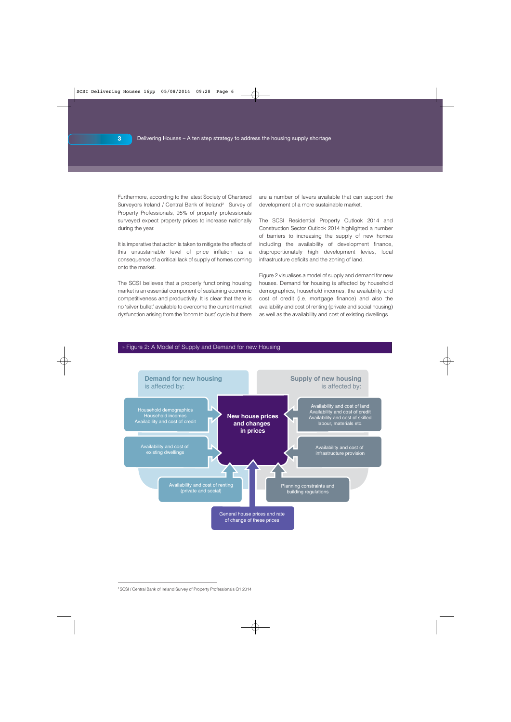Furthermore, according to the latest Society of Chartered Surveyors Ireland / Central Bank of Ireland<sup>2</sup> Survey of Property Professionals, 95% of property professionals surveyed expect property prices to increase nationally during the year.

It is imperative that action is taken to mitigate the effects of this unsustainable level of price inflation as a consequence of a critical lack of supply of homes coming onto the market.

The SCSI believes that a properly functioning housing market is an essential component of sustaining economic competitiveness and productivity. It is clear that there is no 'silver bullet' available to overcome the current market dysfunction arising from the 'boom to bust' cycle but there are a number of levers available that can support the development of a more sustainable market.

The SCSI Residential Property Outlook 2014 and Construction Sector Outlook 2014 highlighted a number of barriers to increasing the supply of new homes including the availability of development finance, disproportionately high development levies, local infrastructure deficits and the zoning of land.

Figure 2 visualises a model of supply and demand for new houses. Demand for housing is affected by household demographics, household incomes, the availability and cost of credit (i.e. mortgage finance) and also the availability and cost of renting (private and social housing) as well as the availability and cost of existing dwellings.





<sup>2</sup> SCSI / Central Bank of Ireland Survey of Property Professionals Q1 2014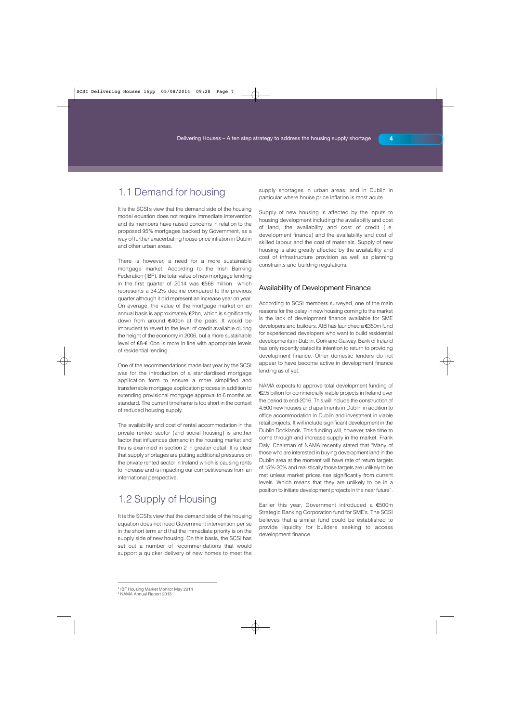### 1.1 Demand for housing

It is the SCSI's view that the demand side of the housing model equation does not require immediate intervention and its members have raised concerns in relation to the proposed 95% mortgages backed by Government, as a way of further exacerbating house price inflation in Dublin and other urban areas.

There is however, a need for a more sustainable mortgage market. According to the Irish Banking Federation (IBF), the total value of new mortgage lending in the first quarter of 2014 was €568 million which represents a 34.2% decline compared to the previous quarter although it did represent an increase year on year. On average, the value of the mortgage market on an annual basis is approximately €2bn, which is significantly down from around €40bn at the peak. It would be imprudent to revert to the level of credit available during the height of the economy in 2006, but a more sustainable level of €8-€10bn is more in line with appropriate levels of residential lending.

One of the recommendations made last year by the SCSI was for the introduction of a standardised mortgage application form to ensure a more simplified and transferrable mortgage application process in addition to extending provisional mortgage approval to 6 months as standard. The current timeframe is too short in the context of reduced housing supply.

The availability and cost of rental accommodation in the private rented sector (and social housing) is another factor that influences demand in the housing market and this is examined in section 2 in greater detail. It is clear that supply shortages are putting additional pressures on the private rented sector in Ireland which is causing rents to increase and is impacting our competitiveness from an international perspective.

### 1.2 Supply of Housing

It is the SCSI's view that the demand side of the housing equation does not need Government intervention per se in the short term and that the immediate priority is on the supply side of new housing. On this basis, the SCSI has set out a number of recommendations that would support a quicker delivery of new homes to meet the

supply shortages in urban areas, and in Dublin in particular where house price inflation is most acute.

Supply of new housing is affected by the inputs to housing development including the availability and cost of land, the availability and cost of credit (i.e. development finance) and the availability and cost of skilled labour and the cost of materials. Supply of new housing is also greatly affected by the availability and cost of infrastructure provision as well as planning constraints and building regulations.

#### Availability of Development Finance

According to SCSI members surveyed, one of the main reasons for the delay in new housing coming to the market is the lack of development finance available for SME developers and builders. AIB has launched a €350m fund for experienced developers who want to build residential developments in Dublin, Cork and Galway. Bank of Ireland has only recently stated its intention to return to providing development finance. Other domestic lenders do not appear to have become active in development finance lending as of yet.

NAMA expects to approve total development funding of €2.5 billion for commercially viable projects in Ireland over the period to end-2016. This will include the construction of 4,500 new houses and apartments in Dublin in addition to office accommodation in Dublin and investment in viable retail projects. It will include significant development in the Dublin Docklands. This funding will, however, take time to come through and increase supply in the market. Frank Daly, Chairman of NAMA recently stated that "Many of those who are interested in buying development land in the Dublin area at the moment will have rate of return targets of 15%-20% and realistically those targets are unlikely to be met unless market prices rise significantly from current levels. Which means that they are unlikely to be in a position to initiate development projects in the near future".

Earlier this year, Government introduced a €500m Strategic Banking Corporation fund for SME's. The SCSI believes that a similar fund could be established to provide liquidity for builders seeking to access development finance.

<sup>3</sup> IBF Housing Market Monitor May 2014

<sup>4</sup> NAMA Annual Report 2013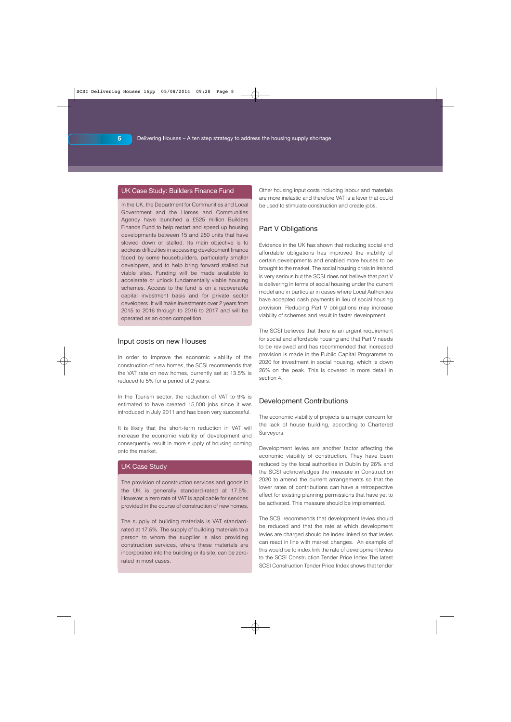#### UK Case Study: Builders Finance Fund

In the UK, the Department for Communities and Local Government and the Homes and Communities Agency have launched a £525 million Builders Finance Fund to help restart and speed up housing developments between 15 and 250 units that have slowed down or stalled. Its main objective is to address difficulties in accessing development finance faced by some housebuilders, particularly smaller developers, and to help bring forward stalled but viable sites. Funding will be made available to accelerate or unlock fundamentally viable housing schemes. Access to the fund is on a recoverable capital investment basis and for private sector developers. It will make investments over 2 years from 2015 to 2016 through to 2016 to 2017 and will be operated as an open competition.

#### Input costs on new Houses

In order to improve the economic viability of the construction of new homes, the SCSI recommends that the VAT rate on new homes, currently set at 13.5% is reduced to 5% for a period of 2 years.

In the Tourism sector, the reduction of VAT to 9% is estimated to have created 15,000 jobs since it was introduced in July 2011 and has been very successful.

It is likely that the short-term reduction in VAT will increase the economic viability of development and consequently result in more supply of housing coming onto the market.

#### UK Case Study

The provision of construction services and goods in the UK is generally standard-rated at 17.5%. However, a zero rate of VAT is applicable for services provided in the course of construction of new homes.

The supply of building materials is VAT standardrated at 17.5%. The supply of building materials to a person to whom the supplier is also providing construction services, where these materials are incorporated into the building or its site, can be zerorated in most cases.

Other housing input costs including labour and materials are more inelastic and therefore VAT is a lever that could be used to stimulate construction and create jobs.

#### Part V Obligations

Evidence in the UK has shown that reducing social and affordable obligations has improved the viability of certain developments and enabled more houses to be brought to the market. The social housing crisis in Ireland is very serious but the SCSI does not believe that part V is delivering in terms of social housing under the current model and in particular in cases where Local Authorities have accepted cash payments in lieu of social housing provision. Reducing Part V obligations may increase viability of schemes and result in faster development.

The SCSI believes that there is an urgent requirement for social and affordable housing and that Part V needs to be reviewed and has recommended that increased provision is made in the Public Capital Programme to 2020 for investment in social housing, which is down 26% on the peak. This is covered in more detail in section 4.

#### Development Contributions

The economic viability of projects is a major concern for the lack of house building, according to Chartered Surveyors.

Development levies are another factor affecting the economic viability of construction. They have been reduced by the local authorities in Dublin by 26% and the SCSI acknowledges the measure in Construction 2020 to amend the current arrangements so that the lower rates of contributions can have a retrospective effect for existing planning permissions that have yet to be activated. This measure should be implemented.

The SCSI recommends that development levies should be reduced and that the rate at which development levies are charged should be index linked so that levies can react in line with market changes. An example of this would be to index link the rate of development levies to the SCSI Construction Tender Price Index.The latest SCSI Construction Tender Price Index shows that tender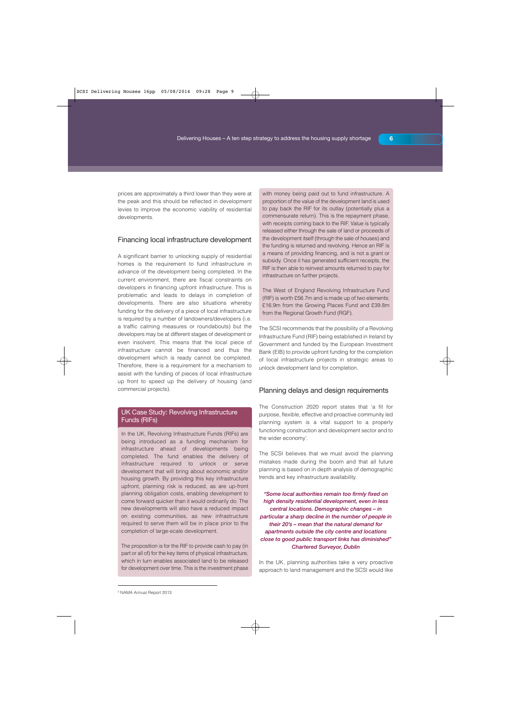prices are approximately a third lower than they were at the peak and this should be reflected in development levies to improve the economic viability of residential developments.

#### Financing local infrastructure development

A significant barrier to unlocking supply of residential homes is the requirement to fund infrastructure in advance of the development being completed. In the current environment, there are fiscal constraints on developers in financing upfront infrastructure. This is problematic and leads to delays in completion of developments. There are also situations whereby funding for the delivery of a piece of local infrastructure is required by a number of landowners/developers (i.e. a traffic calming measures or roundabouts) but the developers may be at different stages of development or even insolvent. This means that the local piece of infrastructure cannot be financed and thus the development which is ready cannot be completed. Therefore, there is a requirement for a mechanism to assist with the funding of pieces of local infrastructure up front to speed up the delivery of housing (and commercial projects).

#### UK Case Study: Revolving Infrastructure Funds (RIFs)

In the UK, Revolving Infrastructure Funds (RIFs) are being introduced as a funding mechanism for infrastructure ahead of developments being completed. The fund enables the delivery of infrastructure required to unlock or serve development that will bring about economic and/or housing growth. By providing this key infrastructure upfront, planning risk is reduced, as are up-front planning obligation costs, enabling development to come forward quicker than it would ordinarily do. The new developments will also have a reduced impact on existing communities, as new infrastructure required to serve them will be in place prior to the completion of large-scale development.

The proposition is for the RIF to provide cash to pay (in part or all of) for the key items of physical infrastructure, which in turn enables associated land to be released for development over time. This is the investment phase

with money being paid out to fund infrastructure. A proportion of the value of the development land is used to pay back the RIF for its outlay (potentially plus a commensurate return). This is the repayment phase, with receipts coming back to the RIF. Value is typically released either through the sale of land or proceeds of the development itself (through the sale of houses) and the funding is returned and revolving. Hence an RIF is a means of providing financing, and is not a grant or subsidy. Once it has generated sufficient receipts, the RIF is then able to reinvest amounts returned to pay for infrastructure on further projects.

The West of England Revolving Infrastructure Fund (RIF) is worth £56.7m and is made up of two elements; £16.9m from the Growing Places Fund and £39.8m from the Regional Growth Fund (RGF).

The SCSI recommends that the possibility of a Revolving Infrastructure Fund (RIF) being established in Ireland by Government and funded by the European Investment Bank (EIB) to provide upfront funding for the completion of local infrastructure projects in strategic areas to unlock development land for completion.

#### Planning delays and design requirements

The Construction 2020 report states that 'a fit for purpose, flexible, effective and proactive community led planning system is a vital support to a properly functioning construction and development sector and to the wider economy'.

The SCSI believes that we must avoid the planning mistakes made during the boom and that all future planning is based on in depth analysis of demographic trends and key infrastructure availability.

*"Some local authorities remain too firmly fixed on high density residential development, even in less central locations. Demographic changes – in particular a sharp decline in the number of people in their 20's – mean that the natural demand for apartments outside the city centre and locations close to good public transport links has diminished" Chartered Surveyor, Dublin*

In the UK, planning authorities take a very proactive approach to land management and the SCSI would like

<sup>5</sup> NAMA Annual Report 2013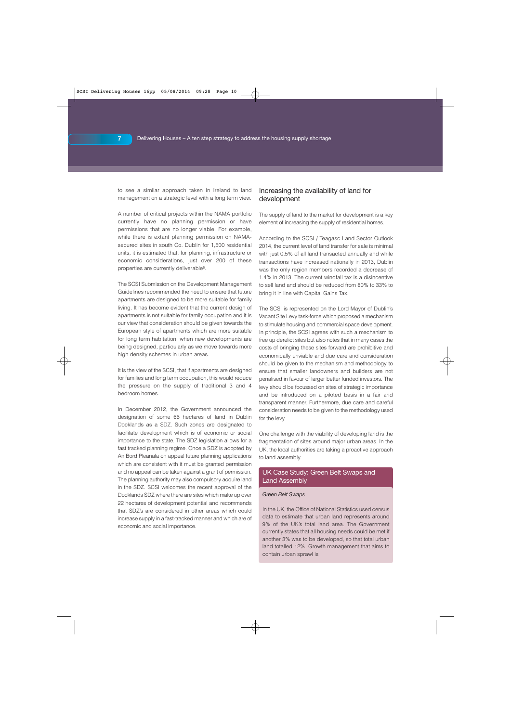to see a similar approach taken in Ireland to land management on a strategic level with a long term view.

A number of critical projects within the NAMA portfolio currently have no planning permission or have permissions that are no longer viable. For example, while there is extant planning permission on NAMAsecured sites in south Co. Dublin for 1,500 residential units, it is estimated that, for planning, infrastructure or economic considerations, just over 200 of these properties are currently deliverable<sup>5</sup>.

The SCSI Submission on the Development Management Guidelines recommended the need to ensure that future apartments are designed to be more suitable for family living. It has become evident that the current design of apartments is not suitable for family occupation and it is our view that consideration should be given towards the European style of apartments which are more suitable for long term habitation, when new developments are being designed, particularly as we move towards more high density schemes in urban areas.

It is the view of the SCSI, that if apartments are designed for families and long term occupation, this would reduce the pressure on the supply of traditional 3 and 4 bedroom homes.

In December 2012, the Government announced the designation of some 66 hectares of land in Dublin Docklands as a SDZ. Such zones are designated to facilitate development which is of economic or social importance to the state. The SDZ legislation allows for a fast tracked planning regime. Once a SDZ is adopted by An Bord Pleanala on appeal future planning applications which are consistent with it must be granted permission and no appeal can be taken against a grant of permission. The planning authority may also compulsory acquire land in the SDZ. SCSI welcomes the recent approval of the Docklands SDZ where there are sites which make up over 22 hectares of development potential and recommends that SDZ's are considered in other areas which could increase supply in a fast-tracked manner and which are of economic and social importance.

#### Increasing the availability of land for development

The supply of land to the market for development is a key element of increasing the supply of residential homes.

According to the SCSI / Teagasc Land Sector Outlook 2014, the current level of land transfer for sale is minimal with just 0.5% of all land transacted annually and while transactions have increased nationally in 2013, Dublin was the only region members recorded a decrease of 1.4% in 2013. The current windfall tax is a disincentive to sell land and should be reduced from 80% to 33% to bring it in line with Capital Gains Tax.

The SCSI is represented on the Lord Mayor of Dublin's Vacant Site Levy task-force which proposed a mechanism to stimulate housing and commercial space development. In principle, the SCSI agrees with such a mechanism to free up derelict sites but also notes that in many cases the costs of bringing these sites forward are prohibitive and economically unviable and due care and consideration should be given to the mechanism and methodology to ensure that smaller landowners and builders are not penalised in favour of larger better funded investors. The levy should be focussed on sites of strategic importance and be introduced on a piloted basis in a fair and transparent manner. Furthermore, due care and careful consideration needs to be given to the methodology used for the levy.

One challenge with the viability of developing land is the fragmentation of sites around major urban areas. In the UK, the local authorities are taking a proactive approach to land assembly.

#### UK Case Study: Green Belt Swaps and Land Assembly

#### *Green Belt Swaps*

In the UK, the Office of National Statistics used census data to estimate that urban land represents around 9% of the UK's total land area. The Government currently states that all housing needs could be met if another 3% was to be developed, so that total urban land totalled 12%. Growth management that aims to contain urban sprawl is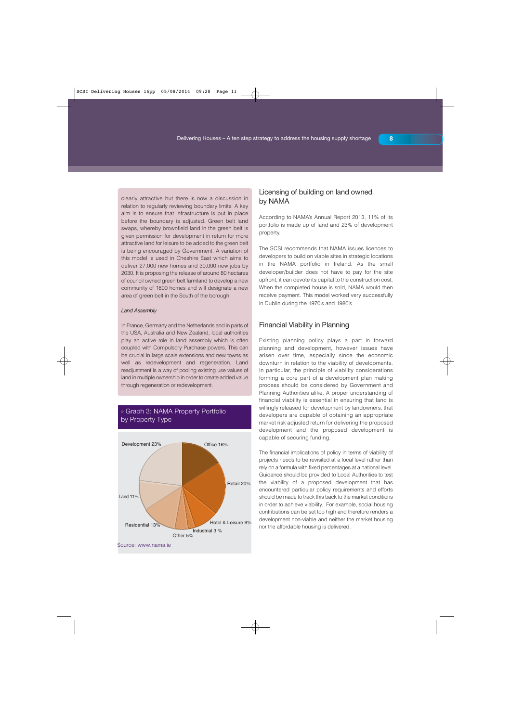clearly attractive but there is now a discussion in relation to regularly reviewing boundary limits. A key aim is to ensure that infrastructure is put in place before the boundary is adjusted. Green belt land swaps, whereby brownfield land in the green belt is given permission for development in return for more attractive land for leisure to be added to the green belt is being encouraged by Government. A variation of this model is used in Cheshire East which aims to deliver 27,000 new homes and 30,000 new jobs by 2030. It is proposing the release of around 80 hectares of council owned green belt farmland to develop a new community of 1800 homes and will designate a new area of green belt in the South of the borough.

#### *Land Assembly*

In France, Germany and the Netherlands and in parts of the USA, Australia and New Zealand, local authorities play an active role in land assembly which is often coupled with Compulsory Purchase powers. This can be crucial in large scale extensions and new towns as well as redevelopment and regeneration. Land readjustment is a way of pooling existing use values of land in multiple ownership in order to create added value through regeneration or redevelopment.



Source: www.nama.ie

#### » Graph 3: NAMA Property Portfolio by Property Type

#### Licensing of building on land owned by NAMA

According to NAMA's Annual Report 2013, 11% of its portfolio is made up of land and 23% of development property.

The SCSI recommends that NAMA issues licences to developers to build on viable sites in strategic locations in the NAMA portfolio in Ireland. As the small developer/builder does not have to pay for the site upfront, it can devote its capital to the construction cost. When the completed house is sold, NAMA would then receive payment. This model worked very successfully in Dublin during the 1970's and 1980's.

#### Financial Viability in Planning

Existing planning policy plays a part in forward planning and development, however issues have arisen over time, especially since the economic downturn in relation to the viability of developments. In particular, the principle of viability considerations forming a core part of a development plan making process should be considered by Government and Planning Authorities alike. A proper understanding of financial viability is essential in ensuring that land is willingly released for development by landowners, that developers are capable of obtaining an appropriate market risk adjusted return for delivering the proposed development and the proposed development is capable of securing funding.

The financial implications of policy in terms of viability of projects needs to be revisited at a local level rather than rely on a formula with fixed percentages at a national level. Guidance should be provided to Local Authorities to test the viability of a proposed development that has encountered particular policy requirements and efforts should be made to track this back to the market conditions in order to achieve viability. For example, social housing contributions can be set too high and therefore renders a development non-viable and neither the market housing nor the affordable housing is delivered.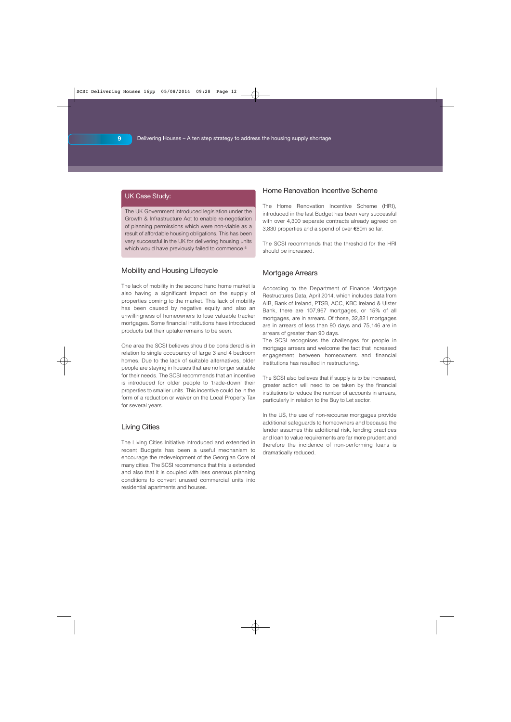#### UK Case Study:

The UK Government introduced legislation under the Growth & Infrastructure Act to enable re-negotiation of planning permissions which were non-viable as a result of affordable housing obligations. This has been very successful in the UK for delivering housing units which would have previously failed to commence.<sup>6</sup>

#### Mobility and Housing Lifecycle

The lack of mobility in the second hand home market is also having a significant impact on the supply of properties coming to the market. This lack of mobility has been caused by negative equity and also an unwillingness of homeowners to lose valuable tracker mortgages. Some financial institutions have introduced products but their uptake remains to be seen.

One area the SCSI believes should be considered is in relation to single occupancy of large 3 and 4 bedroom homes. Due to the lack of suitable alternatives, older people are staying in houses that are no longer suitable for their needs. The SCSI recommends that an incentive is introduced for older people to 'trade-down' their properties to smaller units. This incentive could be in the form of a reduction or waiver on the Local Property Tax for several years.

#### Living Cities

The Living Cities Initiative introduced and extended in recent Budgets has been a useful mechanism to encourage the redevelopment of the Georgian Core of many cities. The SCSI recommends that this is extended and also that it is coupled with less onerous planning conditions to convert unused commercial units into residential apartments and houses.

#### Home Renovation Incentive Scheme

The Home Renovation Incentive Scheme (HRI), introduced in the last Budget has been very successful with over 4,300 separate contracts already agreed on 3,830 properties and a spend of over €80m so far.

The SCSI recommends that the threshold for the HRI should be increased.

#### Mortgage Arrears

According to the Department of Finance Mortgage Restructures Data, April 2014, which includes data from AIB, Bank of Ireland, PTSB, ACC, KBC Ireland & Ulster Bank, there are 107,967 mortgages, or 15% of all mortgages, are in arrears. Of those, 32,821 mortgages are in arrears of less than 90 days and 75,146 are in arrears of greater than 90 days.

The SCSI recognises the challenges for people in mortgage arrears and welcome the fact that increased engagement between homeowners and financial institutions has resulted in restructuring.

The SCSI also believes that if supply is to be increased, greater action will need to be taken by the financial institutions to reduce the number of accounts in arrears, particularly in relation to the Buy to Let sector.

In the US, the use of non-recourse mortgages provide additional safeguards to homeowners and because the lender assumes this additional risk, lending practices and loan to value requirements are far more prudent and therefore the incidence of non-performing loans is dramatically reduced.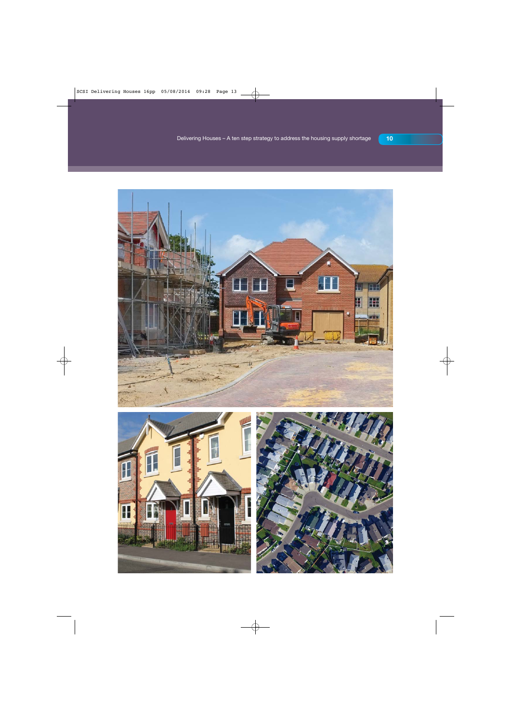

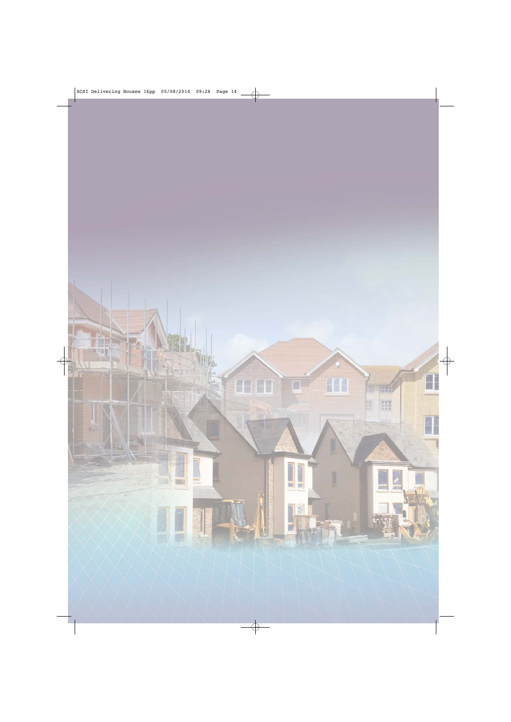